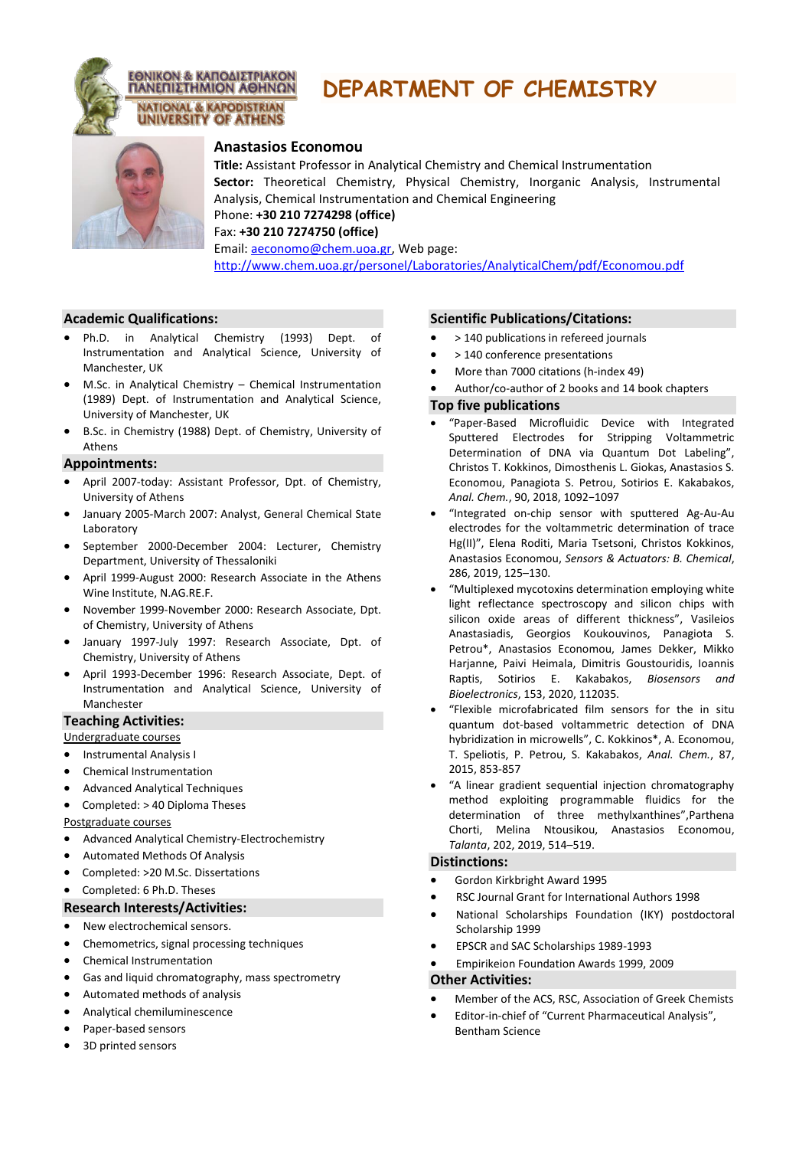

# **DEPARTMENT OF CHEMISTRY**



## **Anastasios Economou**

**Title:** Assistant Professor in Analytical Chemistry and Chemical Instrumentation **Sector:** Theoretical Chemistry, Physical Chemistry, Inorganic Analysis, Instrumental Analysis, Chemical Instrumentation and Chemical Engineering Phone: **+30 210 7274298 (office)**

Fax: **+30 210 7274750 (office)**

Email: [aeconomo@chem.uoa.gr,](../../Administrator/Local%20Settings/Temporary%20Internet%20Files/Content.IE5/F5JOY5G6/aeconomo@chem.uoa.gr) Web pag[e:](http://www.chem.uoa.gr/personel/Laboratories/AnalyticalChem/pdf/Economou.pdf) <http://www.chem.uoa.gr/personel/Laboratories/AnalyticalChem/pdf/Economou.pdf>

#### **Academic Qualifications:**

- Ph.D. in Analytical Chemistry (1993) Dept. of Instrumentation and Analytical Science, University of Manchester, UK
- M.Sc. in Analytical Chemistry Chemical Instrumentation (1989) Dept. of Instrumentation and Analytical Science, University of Manchester, UK
- B.Sc. in Chemistry (1988) Dept. of Chemistry, University of Athens

#### **Appointments:**

- April 2007-today: Assistant Professor, Dpt. of Chemistry, University of Athens
- January 2005-March 2007: Analyst, General Chemical State Laboratory
- September 2000-December 2004: Lecturer, Chemistry Department, University of Thessaloniki
- April 1999-August 2000: Research Associate in the Athens Wine Institute, N.AG.RE.F.
- November 1999-November 2000: Research Associate, Dpt. of Chemistry, University of Athens
- January 1997-July 1997: Research Associate, Dpt. of Chemistry, University of Athens
- April 1993-December 1996: Research Associate, Dept. of Instrumentation and Analytical Science, University of Manchester

## **Teaching Activities:**

Undergraduate courses

- Instrumental Analysis I
- Chemical Instrumentation
- Advanced Analytical Techniques
- Completed: > 40 Diploma Theses

Postgraduate courses

- Advanced Analytical Chemistry-Electrochemistry
- Automated Methods Of Analysis
- Completed: >20 M.Sc. Dissertations
- Completed: 6 Ph.D. Theses

#### **Research Interests/Activities:**

- New electrochemical sensors.
- Chemometrics, signal processing techniques
- Chemical Instrumentation
- Gas and liquid chromatography, mass spectrometry
- Automated methods of analysis
- Analytical chemiluminescence
- Paper-based sensors
- 3D printed sensors

### **Scientific Publications/Citations:**

- > 140 publications in refereed journals
- > 140 conference presentations
- More than 7000 citations (h-index 49)
- Author/co-author of 2 books and 14 book chapters

#### **Top five publications**

- "Paper-Based Microfluidic Device with Integrated Sputtered Electrodes for Stripping Voltammetric Determination of DNA via Quantum Dot Labeling", Christos T. Kokkinos, Dimosthenis L. Giokas, Anastasios S. Economou, Panagiota S. Petrou, Sotirios E. Kakabakos, *Anal. Chem.*, 90, 2018, 1092−1097
- "Integrated on-chip sensor with sputtered Ag-Au-Au electrodes for the voltammetric determination of trace Hg(II)", Elena Roditi, Maria Tsetsoni, Christos Kokkinos, Anastasios Economou, *Sensors & Actuators: B. Chemical*, 286, 2019, 125–130.
- "Multiplexed mycotoxins determination employing white light reflectance spectroscopy and silicon chips with silicon oxide areas of different thickness", Vasileios Anastasiadis, Georgios Koukouvinos, Panagiota S. Petrou\*, Anastasios Economou, James Dekker, Mikko Harjanne, Paivi Heimala, Dimitris Goustouridis, Ioannis Raptis, Sotirios E. Kakabakos, *Biosensors and Bioelectronics*, 153, 2020, 112035.
- "Flexible microfabricated film sensors for the in situ quantum dot-based voltammetric detection of DNA hybridization in microwells", C. Kokkinos\*, A. Economou, T. Speliotis, P. Petrou, S. Kakabakos, *Anal. Chem.*, 87, 2015, 853-857
- "A linear gradient sequential injection chromatography method exploiting programmable fluidics for the determination of three methylxanthines",Parthena Chorti, Melina Ntousikou, Anastasios Economou, *Talanta*, 202, 2019, 514–519.

#### **Distinctions:**

- Gordon Kirkbright Award 1995
- RSC Journal Grant for International Authors 1998
- National Scholarships Foundation (IKY) postdoctoral Scholarship 1999
- EPSCR and SAC Scholarships 1989-1993
- Empirikeion Foundation Awards 1999, 2009

#### **Other Activities:**

- Member of the ACS, RSC, Association of Greek Chemists
- Editor-in-chief of "Current Pharmaceutical Analysis", Bentham Science